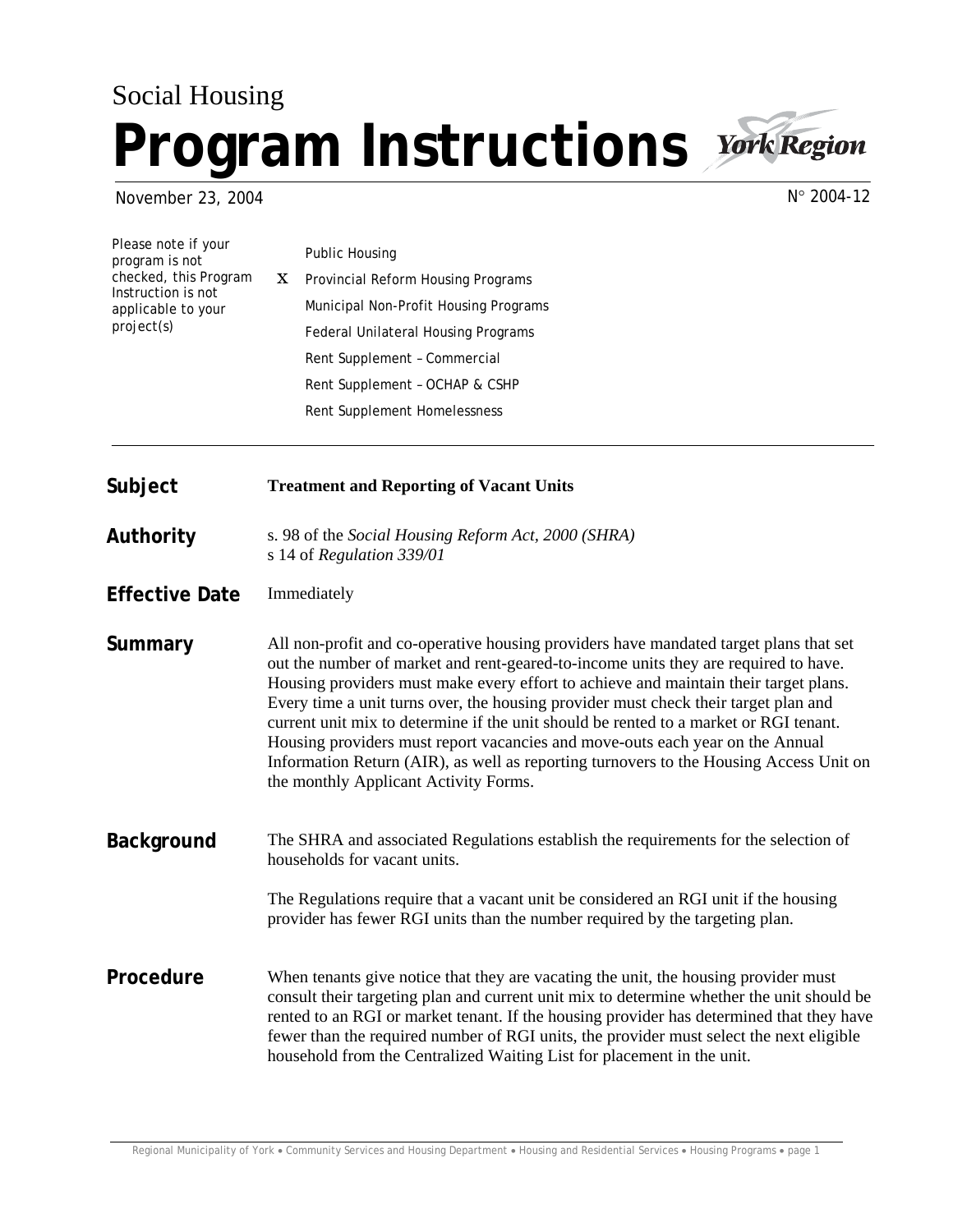## Social Housing **Program Instructions** *York Region*



November 23, 2004

N° 2004-12

| Please note if your<br>program is not<br>checked, this Program<br>Instruction is not<br>applicable to your<br>project(s) |    | Public Housing                        |
|--------------------------------------------------------------------------------------------------------------------------|----|---------------------------------------|
|                                                                                                                          | X. | Provincial Reform Housing Programs    |
|                                                                                                                          |    | Municipal Non-Profit Housing Programs |
|                                                                                                                          |    | Federal Unilateral Housing Programs   |
|                                                                                                                          |    | Rent Supplement - Commercial          |
|                                                                                                                          |    | Rent Supplement - OCHAP & CSHP        |
|                                                                                                                          |    | Rent Supplement Homelessness          |

**Subject Treatment and Reporting of Vacant Units** 

**Authority** s. 98 of the *Social Housing Reform Act, 2000 (SHRA)*  s 14 of *Regulation 339/01*

**Effective Date** Immediately **Summary** All non-profit and co-operative housing providers have mandated target plans that set out the number of market and rent-geared-to-income units they are required to have. Housing providers must make every effort to achieve and maintain their target plans. Every time a unit turns over, the housing provider must check their target plan and current unit mix to determine if the unit should be rented to a market or RGI tenant. Housing providers must report vacancies and move-outs each year on the Annual Information Return (AIR), as well as reporting turnovers to the Housing Access Unit on the monthly Applicant Activity Forms.

**Background** The SHRA and associated Regulations establish the requirements for the selection of households for vacant units.

> The Regulations require that a vacant unit be considered an RGI unit if the housing provider has fewer RGI units than the number required by the targeting plan.

**Procedure** When tenants give notice that they are vacating the unit, the housing provider must consult their targeting plan and current unit mix to determine whether the unit should be rented to an RGI or market tenant. If the housing provider has determined that they have fewer than the required number of RGI units, the provider must select the next eligible household from the Centralized Waiting List for placement in the unit.